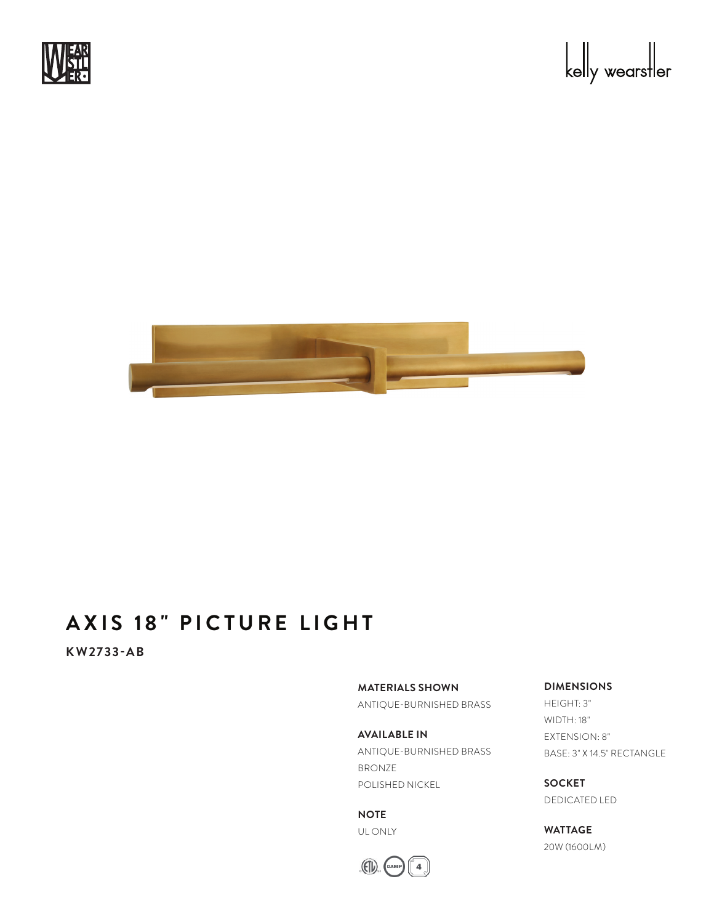





## **AXIS 18" PICTURE LIGHT**

**KW2733-AB**

**MATERIALS SHOWN**

ANTIQUE-BURNISHED BRASS

**AVAILABLE IN** ANTIQUE-BURNISHED BRASS BRONZE POLISHED NICKEL

**NOTE** UL ONLY



### **DIMENSIONS**

HEIGHT: 3" WIDTH: 18" EXTENSION: 8" BASE: 3" X 14.5" RECTANGLE

**SOCKET** DEDICATED LED

**WATTAGE** 20W (1600LM)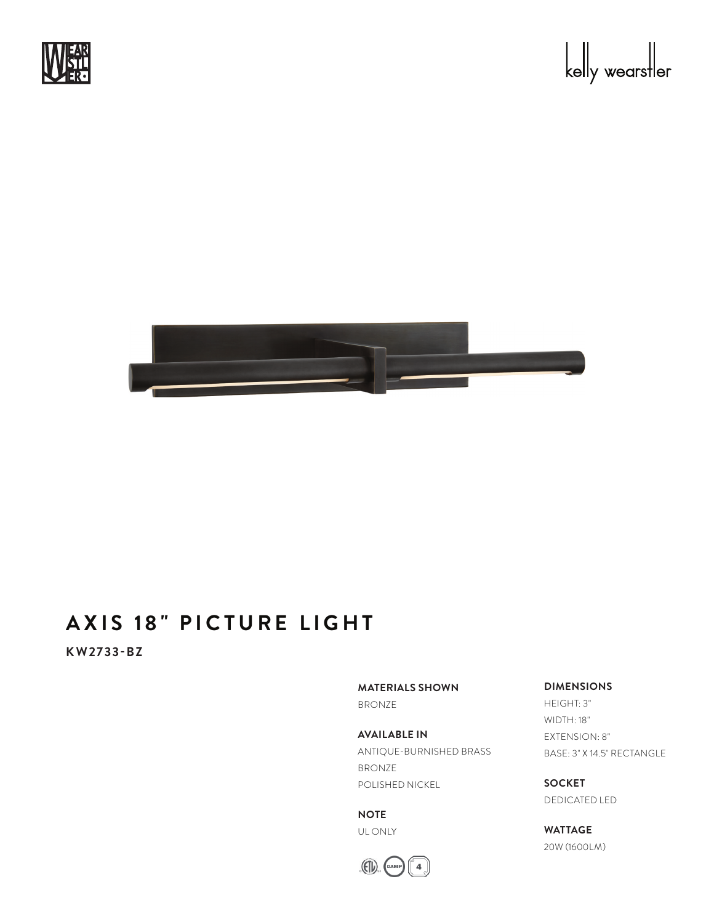





## **AXIS 18" PICTURE LIGHT**

**KW2733-BZ**

**MATERIALS SHOWN**

BRONZE

**AVAILABLE IN** ANTIQUE-BURNISHED BRASS BRONZE POLISHED NICKEL

**NOTE** UL ONLY



#### **DIMENSIONS**

HEIGHT: 3" WIDTH: 18" EXTENSION: 8" BASE: 3" X 14.5" RECTANGLE

**SOCKET** DEDICATED LED

**WATTAGE** 20W (1600LM)